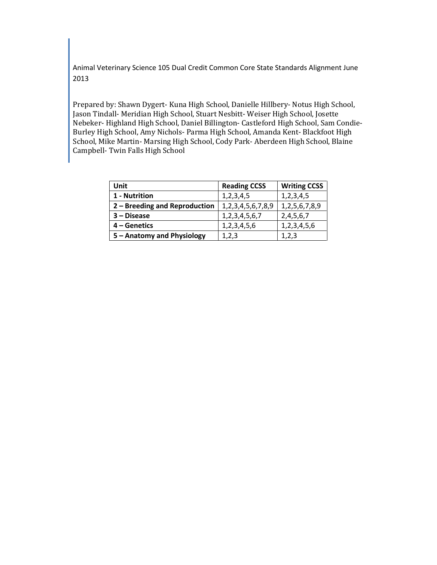Animal Veterinary Science 105 Dual Credit Common Core State Standards Alignment June 2013

Prepared by: Shawn Dygert- Kuna High School, Danielle Hillbery- Notus High School, Jason Tindall- Meridian High School, Stuart Nesbitt- Weiser High School, Josette Nebeker- Highland High School, Daniel Billington- Castleford High School, Sam Condie-Burley High School, Amy Nichols- Parma High School, Amanda Kent- Blackfoot High School, Mike Martin- Marsing High School, Cody Park- Aberdeen High School, Blaine Campbell- Twin Falls High School

| Unit                          | <b>Reading CCSS</b> | <b>Writing CCSS</b> |
|-------------------------------|---------------------|---------------------|
| 1 - Nutrition                 | 1,2,3,4,5           | 1,2,3,4,5           |
| 2 - Breeding and Reproduction | 1,2,3,4,5,6,7,8,9   | 1, 2, 5, 6, 7, 8, 9 |
| 3 - Disease                   | 1, 2, 3, 4, 5, 6, 7 | 2,4,5,6,7           |
| 4 – Genetics                  | 1,2,3,4,5,6         | 1,2,3,4,5,6         |
| 5 - Anatomy and Physiology    | 1,2,3               | 1,2,3               |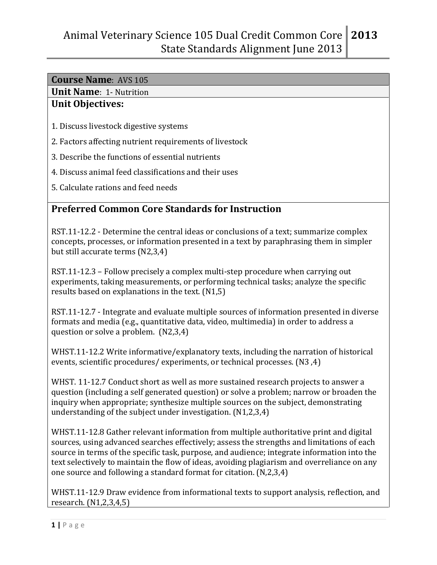## **Unit Name**: 1- Nutrition

### **Unit Objectives:**

- 1. Discuss livestock digestive systems
- 2. Factors affecting nutrient requirements of livestock
- 3. Describe the functions of essential nutrients
- 4. Discuss animal feed classifications and their uses
- 5. Calculate rations and feed needs

## **Preferred Common Core Standards for Instruction**

RST.11-12.2 - Determine the central ideas or conclusions of a text; summarize complex concepts, processes, or information presented in a text by paraphrasing them in simpler but still accurate terms (N2,3,4)

RST.11-12.3 – Follow precisely a complex multi-step procedure when carrying out experiments, taking measurements, or performing technical tasks; analyze the specific results based on explanations in the text. (N1,5)

RST.11-12.7 - Integrate and evaluate multiple sources of information presented in diverse formats and media (e.g., quantitative data, video, multimedia) in order to address a question or solve a problem. (N2,3,4)

WHST.11-12.2 Write informative/explanatory texts, including the narration of historical events, scientific procedures/ experiments, or technical processes. (N3 ,4)

WHST. 11-12.7 Conduct short as well as more sustained research projects to answer a question (including a self generated question) or solve a problem; narrow or broaden the inquiry when appropriate; synthesize multiple sources on the subject, demonstrating understanding of the subject under investigation. (N1,2,3,4)

WHST.11-12.8 Gather relevant information from multiple authoritative print and digital sources, using advanced searches effectively; assess the strengths and limitations of each source in terms of the specific task, purpose, and audience; integrate information into the text selectively to maintain the flow of ideas, avoiding plagiarism and overreliance on any one source and following a standard format for citation. (N,2,3,4)

WHST.11-12.9 Draw evidence from informational texts to support analysis, reflection, and research. (N1,2,3,4,5)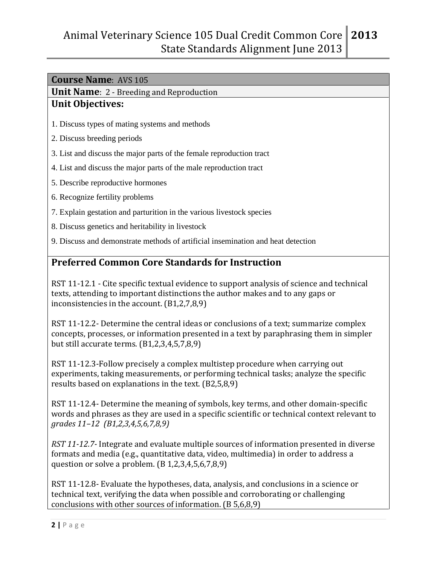**Unit Name**: 2 - Breeding and Reproduction

#### **Unit Objectives:**

- 1. Discuss types of mating systems and methods
- 2. Discuss breeding periods
- 3. List and discuss the major parts of the female reproduction tract
- 4. List and discuss the major parts of the male reproduction tract
- 5. Describe reproductive hormones
- 6. Recognize fertility problems
- 7. Explain gestation and parturition in the various livestock species
- 8. Discuss genetics and heritability in livestock
- 9. Discuss and demonstrate methods of artificial insemination and heat detection

## **Preferred Common Core Standards for Instruction**

RST 11-12.1 - Cite specific textual evidence to support analysis of science and technical texts, attending to important distinctions the author makes and to any gaps or inconsistencies in the account. (B1,2,7,8,9)

RST 11-12.2- Determine the central ideas or conclusions of a text; summarize complex concepts, processes, or information presented in a text by paraphrasing them in simpler but still accurate terms. (B1,2,3,4,5,7,8,9)

RST 11-12.3-Follow precisely a complex multistep procedure when carrying out experiments, taking measurements, or performing technical tasks; analyze the specific results based on explanations in the text. (B2,5,8,9)

RST 11-12.4- Determine the meaning of symbols, key terms, and other domain-specific words and phrases as they are used in a specific scientific or technical context relevant to *grades 11–12 (B1,2,3,4,5,6,7,8,9)*

*RST 11-12.7-* Integrate and evaluate multiple sources of information presented in diverse formats and media (e.g., quantitative data, video, multimedia) in order to address a question or solve a problem. (B 1,2,3,4,5,6,7,8,9)

RST 11-12.8- Evaluate the hypotheses, data, analysis, and conclusions in a science or technical text, verifying the data when possible and corroborating or challenging conclusions with other sources of information. (B 5,6,8,9)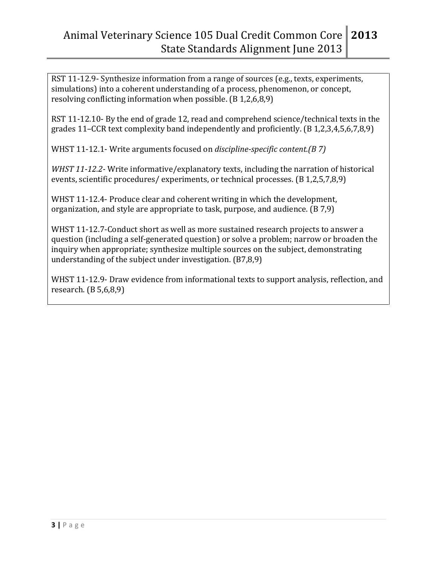RST 11-12.9- Synthesize information from a range of sources (e.g., texts, experiments, simulations) into a coherent understanding of a process, phenomenon, or concept, resolving conflicting information when possible. (B 1,2,6,8,9)

RST 11-12.10- By the end of grade 12, read and comprehend science/technical texts in the grades 11–CCR text complexity band independently and proficiently. (B 1,2,3,4,5,6,7,8,9)

WHST 11-12.1- Write arguments focused on *discipline-specific content.(B 7)*

*WHST 11-12.2-* Write informative/explanatory texts, including the narration of historical events, scientific procedures/ experiments, or technical processes. (B 1,2,5,7,8,9)

WHST 11-12.4- Produce clear and coherent writing in which the development, organization, and style are appropriate to task, purpose, and audience. (B 7,9)

WHST 11-12.7-Conduct short as well as more sustained research projects to answer a question (including a self-generated question) or solve a problem; narrow or broaden the inquiry when appropriate; synthesize multiple sources on the subject, demonstrating understanding of the subject under investigation. (B7,8,9)

WHST 11-12.9- Draw evidence from informational texts to support analysis, reflection, and research. (B 5,6,8,9)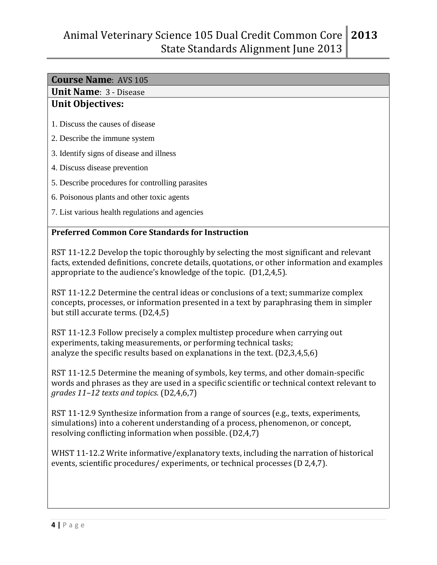## **Unit Name**: 3 - Disease

#### **Unit Objectives:**

- 1. Discuss the causes of disease
- 2. Describe the immune system
- 3. Identify signs of disease and illness
- 4. Discuss disease prevention
- 5. Describe procedures for controlling parasites
- 6. Poisonous plants and other toxic agents
- 7. List various health regulations and agencies

### **Preferred Common Core Standards for Instruction**

RST 11-12.2 Develop the topic thoroughly by selecting the most significant and relevant facts, extended definitions, concrete details, quotations, or other information and examples appropriate to the audience's knowledge of the topic. (D1,2,4,5).

RST 11-12.2 Determine the central ideas or conclusions of a text; summarize complex concepts, processes, or information presented in a text by paraphrasing them in simpler but still accurate terms. (D2,4,5)

RST 11-12.3 Follow precisely a complex multistep procedure when carrying out experiments, taking measurements, or performing technical tasks; analyze the specific results based on explanations in the text. (D2,3,4,5,6)

RST 11-12.5 Determine the meaning of symbols, key terms, and other domain-specific words and phrases as they are used in a specific scientific or technical context relevant to *grades 11–12 texts and topics*. (D2,4,6,7)

RST 11-12.9 Synthesize information from a range of sources (e.g., texts, experiments, simulations) into a coherent understanding of a process, phenomenon, or concept, resolving conflicting information when possible. (D2,4,7)

WHST 11-12.2 Write informative/explanatory texts, including the narration of historical events, scientific procedures/ experiments, or technical processes (D 2,4,7).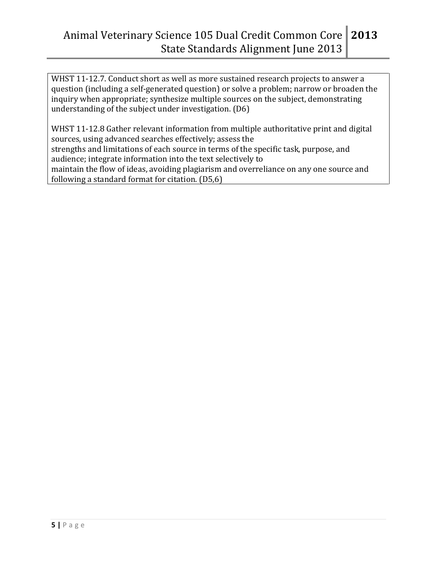WHST 11-12.7. Conduct short as well as more sustained research projects to answer a question (including a self-generated question) or solve a problem; narrow or broaden the inquiry when appropriate; synthesize multiple sources on the subject, demonstrating understanding of the subject under investigation. (D6)

WHST 11-12.8 Gather relevant information from multiple authoritative print and digital sources, using advanced searches effectively; assess the strengths and limitations of each source in terms of the specific task, purpose, and audience; integrate information into the text selectively to maintain the flow of ideas, avoiding plagiarism and overreliance on any one source and following a standard format for citation. (D5,6)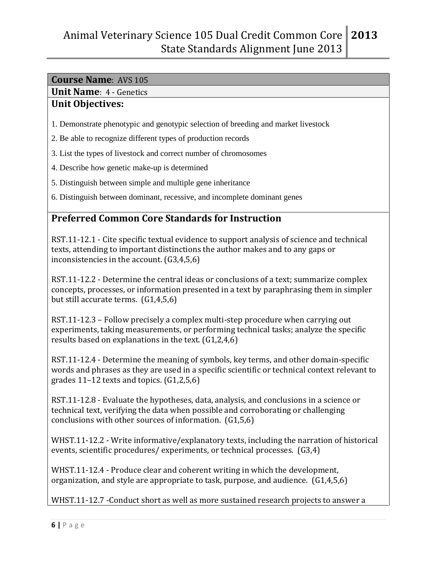### **Unit Name**: 4 - Genetics

#### **Unit Objectives:**

- 1. Demonstrate phenotypic and genotypic selection of breeding and market livestock
- 2. Be able to recognize different types of production records
- 3. List the types of livestock and correct number of chromosomes
- 4. Describe how genetic make-up is determined
- 5. Distinguish between simple and multiple gene inheritance
- 6. Distinguish between dominant, recessive, and incomplete dominant genes

# **Preferred Common Core Standards for Instruction**

RST.11-12.1 - Cite specific textual evidence to support analysis of science and technical texts, attending to important distinctions the author makes and to any gaps or inconsistencies in the account. (G3,4,5,6)

RST.11-12.2 - Determine the central ideas or conclusions of a text; summarize complex concepts, processes, or information presented in a text by paraphrasing them in simpler but still accurate terms. (G1,4,5,6)

RST.11-12.3 – Follow precisely a complex multi-step procedure when carrying out experiments, taking measurements, or performing technical tasks; analyze the specific results based on explanations in the text. (G1,2,4,6)

RST.11-12.4 - Determine the meaning of symbols, key terms, and other domain-specific words and phrases as they are used in a specific scientific or technical context relevant to grades 11–12 texts and topics. (G1,2,5,6)

RST.11-12.8 - Evaluate the hypotheses, data, analysis, and conclusions in a science or technical text, verifying the data when possible and corroborating or challenging conclusions with other sources of information. (G1,5,6)

WHST.11-12.2 - Write informative/explanatory texts, including the narration of historical events, scientific procedures/ experiments, or technical processes. (G3,4)

WHST.11-12.4 - Produce clear and coherent writing in which the development, organization, and style are appropriate to task, purpose, and audience. (G1,4,5,6)

WHST.11-12.7 -Conduct short as well as more sustained research projects to answer a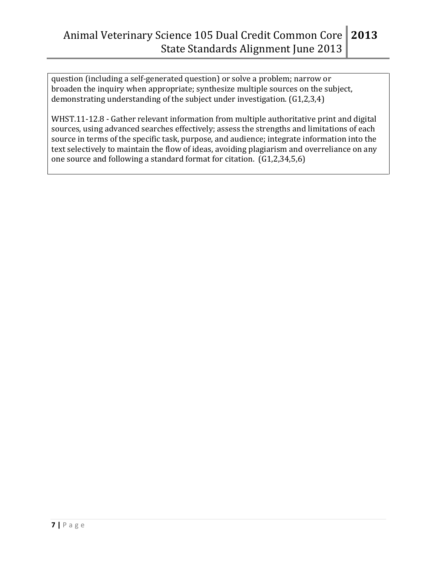question (including a self-generated question) or solve a problem; narrow or broaden the inquiry when appropriate; synthesize multiple sources on the subject, demonstrating understanding of the subject under investigation. (G1,2,3,4)

WHST.11-12.8 - Gather relevant information from multiple authoritative print and digital sources, using advanced searches effectively; assess the strengths and limitations of each source in terms of the specific task, purpose, and audience; integrate information into the text selectively to maintain the flow of ideas, avoiding plagiarism and overreliance on any one source and following a standard format for citation. (G1,2,34,5,6)